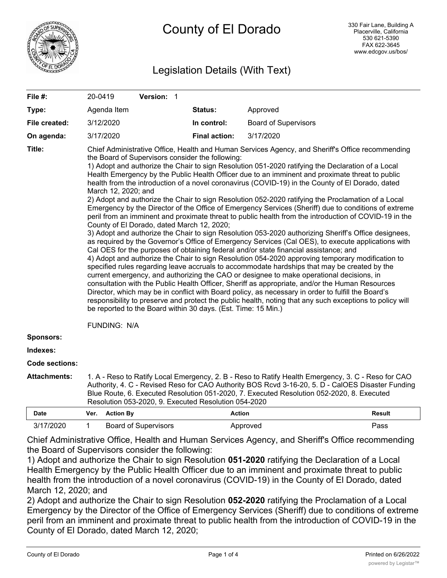

# Legislation Details (With Text)

| File #:               | 20-0419                                                                                                                                                                                                                                                                                                                                                                                                                                                                                                                                                                                                                                                                                                                                                                                                                                                                                                                                                                                                                                                                                                                                                                                                                                                                                                                                                                                                                                                                                                                                                                                                                                                                                                                                                                                                                                                                         |                  | Version: 1                  |  |                      |                             |               |
|-----------------------|---------------------------------------------------------------------------------------------------------------------------------------------------------------------------------------------------------------------------------------------------------------------------------------------------------------------------------------------------------------------------------------------------------------------------------------------------------------------------------------------------------------------------------------------------------------------------------------------------------------------------------------------------------------------------------------------------------------------------------------------------------------------------------------------------------------------------------------------------------------------------------------------------------------------------------------------------------------------------------------------------------------------------------------------------------------------------------------------------------------------------------------------------------------------------------------------------------------------------------------------------------------------------------------------------------------------------------------------------------------------------------------------------------------------------------------------------------------------------------------------------------------------------------------------------------------------------------------------------------------------------------------------------------------------------------------------------------------------------------------------------------------------------------------------------------------------------------------------------------------------------------|------------------|-----------------------------|--|----------------------|-----------------------------|---------------|
| Type:                 |                                                                                                                                                                                                                                                                                                                                                                                                                                                                                                                                                                                                                                                                                                                                                                                                                                                                                                                                                                                                                                                                                                                                                                                                                                                                                                                                                                                                                                                                                                                                                                                                                                                                                                                                                                                                                                                                                 | Agenda Item      |                             |  | Status:              | Approved                    |               |
| File created:         |                                                                                                                                                                                                                                                                                                                                                                                                                                                                                                                                                                                                                                                                                                                                                                                                                                                                                                                                                                                                                                                                                                                                                                                                                                                                                                                                                                                                                                                                                                                                                                                                                                                                                                                                                                                                                                                                                 | 3/12/2020        |                             |  | In control:          | <b>Board of Supervisors</b> |               |
| On agenda:            |                                                                                                                                                                                                                                                                                                                                                                                                                                                                                                                                                                                                                                                                                                                                                                                                                                                                                                                                                                                                                                                                                                                                                                                                                                                                                                                                                                                                                                                                                                                                                                                                                                                                                                                                                                                                                                                                                 | 3/17/2020        |                             |  | <b>Final action:</b> | 3/17/2020                   |               |
| Title:                | Chief Administrative Office, Health and Human Services Agency, and Sheriff's Office recommending<br>the Board of Supervisors consider the following:<br>1) Adopt and authorize the Chair to sign Resolution 051-2020 ratifying the Declaration of a Local<br>Health Emergency by the Public Health Officer due to an imminent and proximate threat to public<br>health from the introduction of a novel coronavirus (COVID-19) in the County of El Dorado, dated<br>March 12, 2020; and<br>2) Adopt and authorize the Chair to sign Resolution 052-2020 ratifying the Proclamation of a Local<br>Emergency by the Director of the Office of Emergency Services (Sheriff) due to conditions of extreme<br>peril from an imminent and proximate threat to public health from the introduction of COVID-19 in the<br>County of El Dorado, dated March 12, 2020;<br>3) Adopt and authorize the Chair to sign Resolution 053-2020 authorizing Sheriff's Office designees,<br>as required by the Governor's Office of Emergency Services (Cal OES), to execute applications with<br>Cal OES for the purposes of obtaining federal and/or state financial assistance; and<br>4) Adopt and authorize the Chair to sign Resolution 054-2020 approving temporary modification to<br>specified rules regarding leave accruals to accommodate hardships that may be created by the<br>current emergency, and authorizing the CAO or designee to make operational decisions, in<br>consultation with the Public Health Officer, Sheriff as appropriate, and/or the Human Resources<br>Director, which may be in conflict with Board policy, as necessary in order to fulfill the Board's<br>responsibility to preserve and protect the public health, noting that any such exceptions to policy will<br>be reported to the Board within 30 days. (Est. Time: 15 Min.)<br><b>FUNDING: N/A</b> |                  |                             |  |                      |                             |               |
| <b>Sponsors:</b>      |                                                                                                                                                                                                                                                                                                                                                                                                                                                                                                                                                                                                                                                                                                                                                                                                                                                                                                                                                                                                                                                                                                                                                                                                                                                                                                                                                                                                                                                                                                                                                                                                                                                                                                                                                                                                                                                                                 |                  |                             |  |                      |                             |               |
| Indexes:              |                                                                                                                                                                                                                                                                                                                                                                                                                                                                                                                                                                                                                                                                                                                                                                                                                                                                                                                                                                                                                                                                                                                                                                                                                                                                                                                                                                                                                                                                                                                                                                                                                                                                                                                                                                                                                                                                                 |                  |                             |  |                      |                             |               |
| <b>Code sections:</b> |                                                                                                                                                                                                                                                                                                                                                                                                                                                                                                                                                                                                                                                                                                                                                                                                                                                                                                                                                                                                                                                                                                                                                                                                                                                                                                                                                                                                                                                                                                                                                                                                                                                                                                                                                                                                                                                                                 |                  |                             |  |                      |                             |               |
| <b>Attachments:</b>   | 1. A - Reso to Ratify Local Emergency, 2. B - Reso to Ratify Health Emergency, 3. C - Reso for CAO<br>Authority, 4. C - Revised Reso for CAO Authority BOS Rcvd 3-16-20, 5. D - CalOES Disaster Funding<br>Blue Route, 6. Executed Resolution 051-2020, 7. Executed Resolution 052-2020, 8. Executed<br>Resolution 053-2020, 9. Executed Resolution 054-2020                                                                                                                                                                                                                                                                                                                                                                                                                                                                                                                                                                                                                                                                                                                                                                                                                                                                                                                                                                                                                                                                                                                                                                                                                                                                                                                                                                                                                                                                                                                    |                  |                             |  |                      |                             |               |
| <b>Date</b>           | Ver.                                                                                                                                                                                                                                                                                                                                                                                                                                                                                                                                                                                                                                                                                                                                                                                                                                                                                                                                                                                                                                                                                                                                                                                                                                                                                                                                                                                                                                                                                                                                                                                                                                                                                                                                                                                                                                                                            | <b>Action By</b> |                             |  |                      | Action                      | <b>Result</b> |
| 3/17/2020             | $\mathbf{1}$                                                                                                                                                                                                                                                                                                                                                                                                                                                                                                                                                                                                                                                                                                                                                                                                                                                                                                                                                                                                                                                                                                                                                                                                                                                                                                                                                                                                                                                                                                                                                                                                                                                                                                                                                                                                                                                                    |                  | <b>Board of Supervisors</b> |  |                      | Approved                    | Pass          |

Chief Administrative Office, Health and Human Services Agency, and Sheriff's Office recommending the Board of Supervisors consider the following:

1) Adopt and authorize the Chair to sign Resolution **051-2020** ratifying the Declaration of a Local Health Emergency by the Public Health Officer due to an imminent and proximate threat to public health from the introduction of a novel coronavirus (COVID-19) in the County of El Dorado, dated March 12, 2020; and

2) Adopt and authorize the Chair to sign Resolution **052-2020** ratifying the Proclamation of a Local Emergency by the Director of the Office of Emergency Services (Sheriff) due to conditions of extreme peril from an imminent and proximate threat to public health from the introduction of COVID-19 in the County of El Dorado, dated March 12, 2020;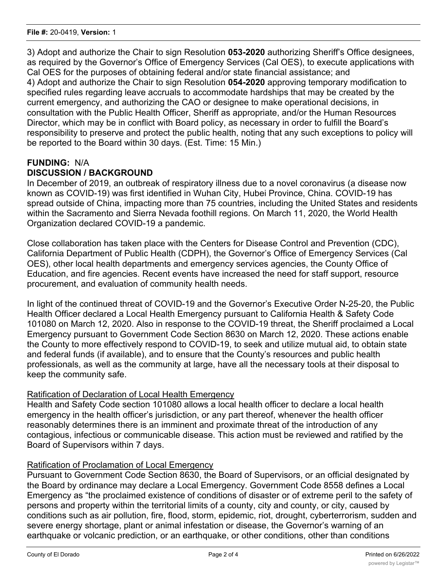3) Adopt and authorize the Chair to sign Resolution **053-2020** authorizing Sheriff's Office designees, as required by the Governor's Office of Emergency Services (Cal OES), to execute applications with Cal OES for the purposes of obtaining federal and/or state financial assistance; and 4) Adopt and authorize the Chair to sign Resolution **054-2020** approving temporary modification to specified rules regarding leave accruals to accommodate hardships that may be created by the current emergency, and authorizing the CAO or designee to make operational decisions, in consultation with the Public Health Officer, Sheriff as appropriate, and/or the Human Resources Director, which may be in conflict with Board policy, as necessary in order to fulfill the Board's responsibility to preserve and protect the public health, noting that any such exceptions to policy will be reported to the Board within 30 days. (Est. Time: 15 Min.)

## **FUNDING:** N/A **DISCUSSION / BACKGROUND**

In December of 2019, an outbreak of respiratory illness due to a novel coronavirus (a disease now known as COVID-19) was first identified in Wuhan City, Hubei Province, China. COVID-19 has spread outside of China, impacting more than 75 countries, including the United States and residents within the Sacramento and Sierra Nevada foothill regions. On March 11, 2020, the World Health Organization declared COVID-19 a pandemic.

Close collaboration has taken place with the Centers for Disease Control and Prevention (CDC), California Department of Public Health (CDPH), the Governor's Office of Emergency Services (Cal OES), other local health departments and emergency services agencies, the County Office of Education, and fire agencies. Recent events have increased the need for staff support, resource procurement, and evaluation of community health needs.

In light of the continued threat of COVID-19 and the Governor's Executive Order N-25-20, the Public Health Officer declared a Local Health Emergency pursuant to California Health & Safety Code 101080 on March 12, 2020. Also in response to the COVID-19 threat, the Sheriff proclaimed a Local Emergency pursuant to Government Code Section 8630 on March 12, 2020. These actions enable the County to more effectively respond to COVID-19, to seek and utilize mutual aid, to obtain state and federal funds (if available), and to ensure that the County's resources and public health professionals, as well as the community at large, have all the necessary tools at their disposal to keep the community safe.

## Ratification of Declaration of Local Health Emergency

Health and Safety Code section 101080 allows a local health officer to declare a local health emergency in the health officer's jurisdiction, or any part thereof, whenever the health officer reasonably determines there is an imminent and proximate threat of the introduction of any contagious, infectious or communicable disease. This action must be reviewed and ratified by the Board of Supervisors within 7 days.

## Ratification of Proclamation of Local Emergency

Pursuant to Government Code Section 8630, the Board of Supervisors, or an official designated by the Board by ordinance may declare a Local Emergency. Government Code 8558 defines a Local Emergency as "the proclaimed existence of conditions of disaster or of extreme peril to the safety of persons and property within the territorial limits of a county, city and county, or city, caused by conditions such as air pollution, fire, flood, storm, epidemic, riot, drought, cyberterrorism, sudden and severe energy shortage, plant or animal infestation or disease, the Governor's warning of an earthquake or volcanic prediction, or an earthquake, or other conditions, other than conditions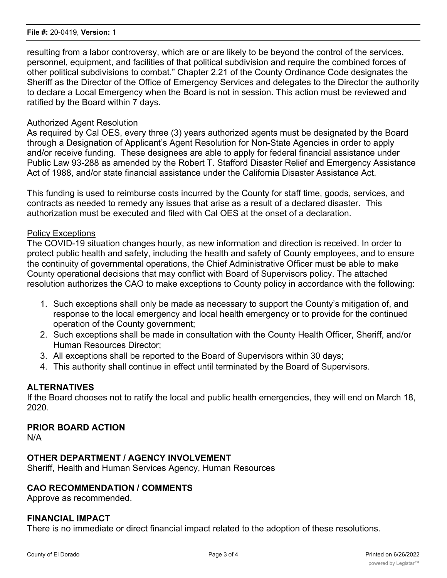#### **File #:** 20-0419, **Version:** 1

resulting from a labor controversy, which are or are likely to be beyond the control of the services, personnel, equipment, and facilities of that political subdivision and require the combined forces of other political subdivisions to combat." Chapter 2.21 of the County Ordinance Code designates the Sheriff as the Director of the Office of Emergency Services and delegates to the Director the authority to declare a Local Emergency when the Board is not in session. This action must be reviewed and ratified by the Board within 7 days.

### Authorized Agent Resolution

As required by Cal OES, every three (3) years authorized agents must be designated by the Board through a Designation of Applicant's Agent Resolution for Non-State Agencies in order to apply and/or receive funding. These designees are able to apply for federal financial assistance under Public Law 93-288 as amended by the Robert T. Stafford Disaster Relief and Emergency Assistance Act of 1988, and/or state financial assistance under the California Disaster Assistance Act.

This funding is used to reimburse costs incurred by the County for staff time, goods, services, and contracts as needed to remedy any issues that arise as a result of a declared disaster. This authorization must be executed and filed with Cal OES at the onset of a declaration.

### Policy Exceptions

The COVID-19 situation changes hourly, as new information and direction is received. In order to protect public health and safety, including the health and safety of County employees, and to ensure the continuity of governmental operations, the Chief Administrative Officer must be able to make County operational decisions that may conflict with Board of Supervisors policy. The attached resolution authorizes the CAO to make exceptions to County policy in accordance with the following:

- 1. Such exceptions shall only be made as necessary to support the County's mitigation of, and response to the local emergency and local health emergency or to provide for the continued operation of the County government;
- 2. Such exceptions shall be made in consultation with the County Health Officer, Sheriff, and/or Human Resources Director;
- 3. All exceptions shall be reported to the Board of Supervisors within 30 days;
- 4. This authority shall continue in effect until terminated by the Board of Supervisors.

### **ALTERNATIVES**

If the Board chooses not to ratify the local and public health emergencies, they will end on March 18, 2020.

### **PRIOR BOARD ACTION**

N/A

## **OTHER DEPARTMENT / AGENCY INVOLVEMENT**

Sheriff, Health and Human Services Agency, Human Resources

### **CAO RECOMMENDATION / COMMENTS**

Approve as recommended.

#### **FINANCIAL IMPACT**

There is no immediate or direct financial impact related to the adoption of these resolutions.